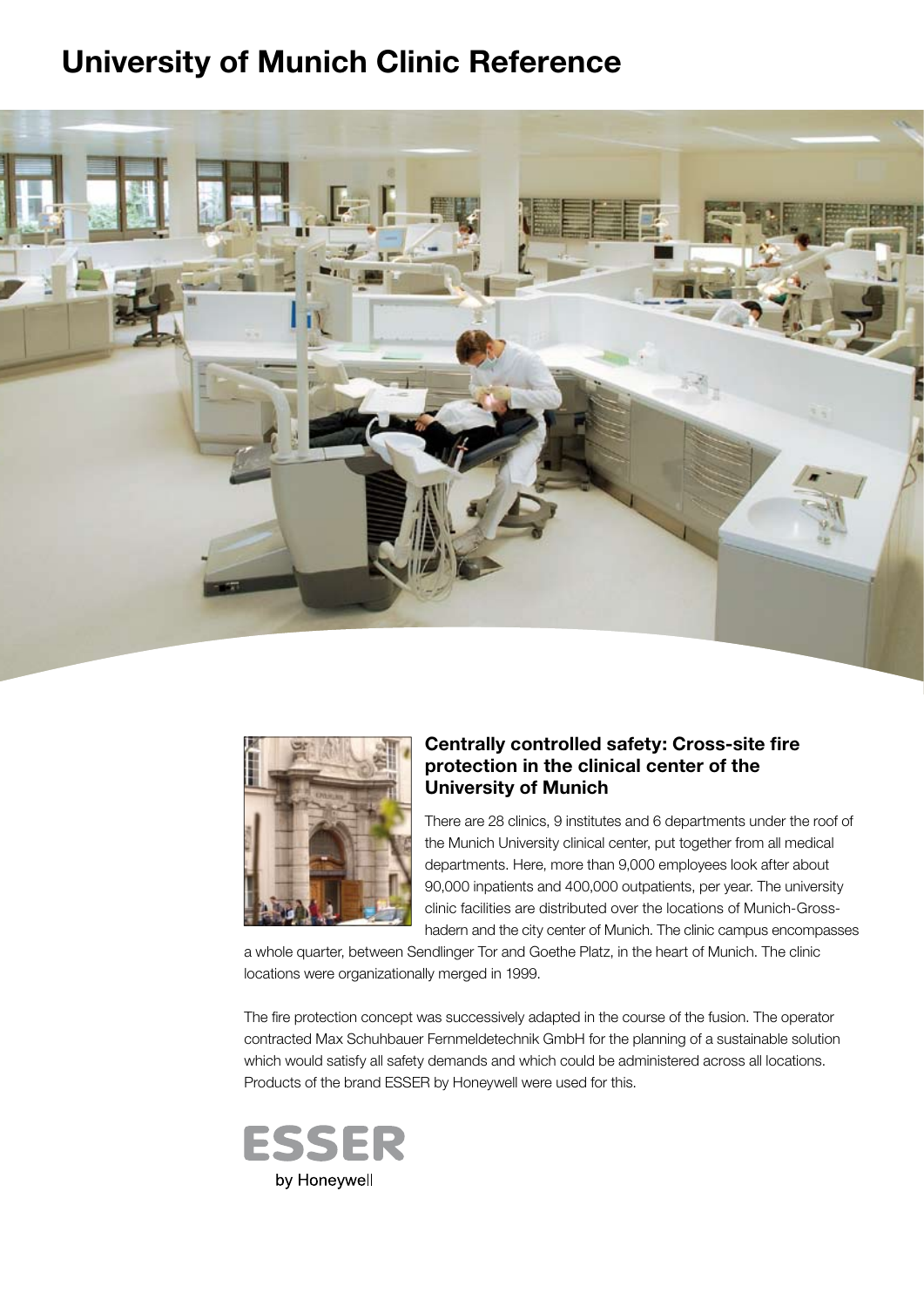# **University of Munich Clinic Reference**





#### **Centrally controlled safety: Cross-site fire protection in the clinical center of the University of Munich**

There are 28 clinics, 9 institutes and 6 departments under the roof of the Munich University clinical center, put together from all medical departments. Here, more than 9,000 employees look after about 90,000 inpatients and 400,000 outpatients, per year. The university clinic facilities are distributed over the locations of Munich-Grosshadern and the city center of Munich. The clinic campus encompasses

a whole quarter, between Sendlinger Tor and Goethe Platz, in the heart of Munich. The clinic locations were organizationally merged in 1999.

The fire protection concept was successively adapted in the course of the fusion. The operator contracted Max Schuhbauer Fernmeldetechnik GmbH for the planning of a sustainable solution which would satisfy all safety demands and which could be administered across all locations. Products of the brand ESSER by Honeywell were used for this.